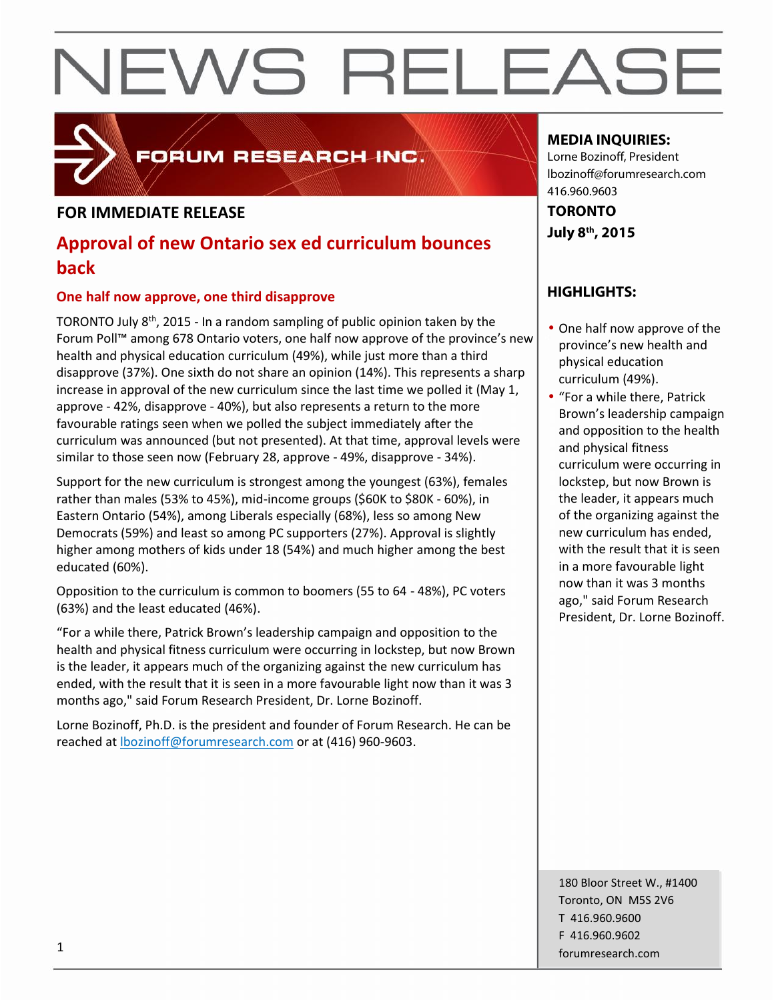# NEWS RELEASE

### FORUM RESEARCH INC.

#### **FOR IMMEDIATE RELEASE**

### **Approval of new Ontario sex ed curriculum bounces back**

#### **One half now approve, one third disapprove**

TORONTO July 8th, 2015 - In a random sampling of public opinion taken by the Forum Poll™ among 678 Ontario voters, one half now approve of the province's new health and physical education curriculum (49%), while just more than a third disapprove (37%). One sixth do not share an opinion (14%). This represents a sharp increase in approval of the new curriculum since the last time we polled it (May 1, approve - 42%, disapprove - 40%), but also represents a return to the more favourable ratings seen when we polled the subject immediately after the curriculum was announced (but not presented). At that time, approval levels were similar to those seen now (February 28, approve - 49%, disapprove - 34%).

Support for the new curriculum is strongest among the youngest (63%), females rather than males (53% to 45%), mid-income groups (\$60K to \$80K - 60%), in Eastern Ontario (54%), among Liberals especially (68%), less so among New Democrats (59%) and least so among PC supporters (27%). Approval is slightly higher among mothers of kids under 18 (54%) and much higher among the best educated (60%).

Opposition to the curriculum is common to boomers (55 to 64 - 48%), PC voters (63%) and the least educated (46%).

"For a while there, Patrick Brown's leadership campaign and opposition to the health and physical fitness curriculum were occurring in lockstep, but now Brown is the leader, it appears much of the organizing against the new curriculum has ended, with the result that it is seen in a more favourable light now than it was 3 months ago," said Forum Research President, Dr. Lorne Bozinoff.

Lorne Bozinoff, Ph.D. is the president and founder of Forum Research. He can be reached at lbozinoff@forumresearch.com or at (416) 960-9603.

#### **MEDIA INQUIRIES:**

Lorne Bozinoff, President lbozinoff@forumresearch.com 416.960.9603

**TORONTO July 8th, 2015**

### **HIGHLIGHTS:**

- One half now approve of the province's new health and physical education curriculum (49%).
- "For a while there, Patrick Brown's leadership campaign and opposition to the health and physical fitness curriculum were occurring in lockstep, but now Brown is the leader, it appears much of the organizing against the new curriculum has ended, with the result that it is seen in a more favourable light now than it was 3 months ago," said Forum Research President, Dr. Lorne Bozinoff.

180 Bloor Street W., #1400 Toronto, ON M5S 2V6 T 416.960.9600 F 416.960.9602 forumresearch.com 1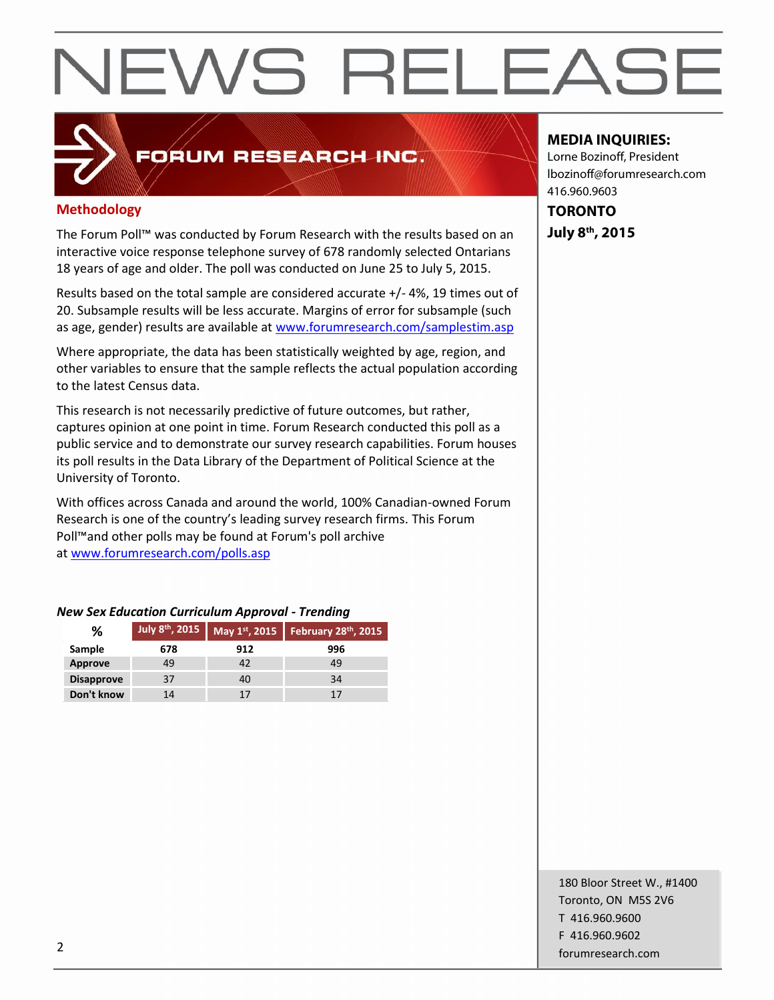# NEWS RELEASE

### **Methodology**

The Forum Poll™ was conducted by Forum Research with the results based on an interactive voice response telephone survey of 678 randomly selected Ontarians 18 years of age and older. The poll was conducted on June 25 to July 5, 2015.

FORUM RESEARCH INC.

Results based on the total sample are considered accurate +/- 4%, 19 times out of 20. Subsample results will be less accurate. Margins of error for subsample (such as age, gender) results are available at www.forumresearch.com/samplestim.asp

Where appropriate, the data has been statistically weighted by age, region, and other variables to ensure that the sample reflects the actual population according to the latest Census data.

This research is not necessarily predictive of future outcomes, but rather, captures opinion at one point in time. Forum Research conducted this poll as a public service and to demonstrate our survey research capabilities. Forum houses its poll results in the Data Library of the Department of Political Science at the University of Toronto.

With offices across Canada and around the world, 100% Canadian-owned Forum Research is one of the country's leading survey research firms. This Forum Poll™and other polls may be found at Forum's poll archive at www.forumresearch.com/polls.asp

#### *New Sex Education Curriculum Approval - Trending*

| ℅                 | July 8 <sup>th</sup> , 2015 |     | May 1st, 2015   February 28th, 2015 |
|-------------------|-----------------------------|-----|-------------------------------------|
| Sample            | 678                         | 912 | 996                                 |
| Approve           | 49                          | 42  | 49                                  |
| <b>Disapprove</b> | 37                          | 40  | 34                                  |
| Don't know        | 14                          |     | 17                                  |

#### **MEDIA INQUIRIES:**

Lorne Bozinoff, President lbozinoff@forumresearch.com 416.960.9603

**TORONTO July 8th, 2015**

180 Bloor Street W., #1400 Toronto, ON M5S 2V6 T 416.960.9600 F 416.960.9602 forumresearch.com 2